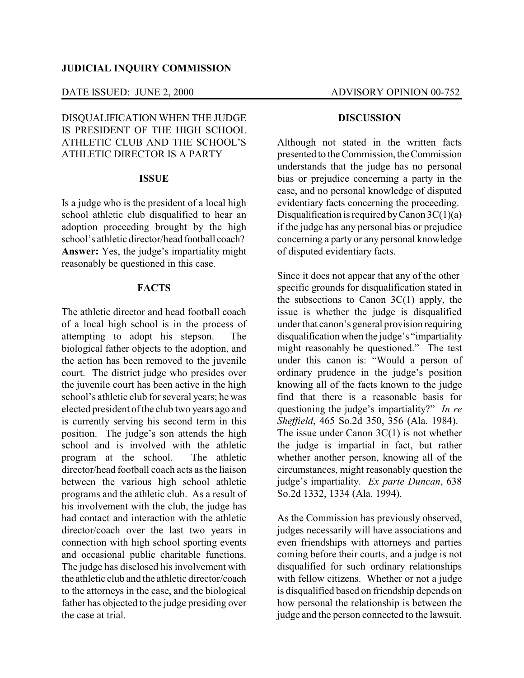### DATE ISSUED: JUNE 2, 2000 ADVISORY OPINION 00-752

# DISQUALIFICATION WHEN THE JUDGE IS PRESIDENT OF THE HIGH SCHOOL ATHLETIC CLUB AND THE SCHOOL'S ATHLETIC DIRECTOR IS A PARTY

### **ISSUE**

Is a judge who is the president of a local high school athletic club disqualified to hear an adoption proceeding brought by the high school's athletic director/head football coach? **Answer:** Yes, the judge's impartiality might reasonably be questioned in this case.

## **FACTS**

The athletic director and head football coach of a local high school is in the process of attempting to adopt his stepson. The biological father objects to the adoption, and the action has been removed to the juvenile court. The district judge who presides over the juvenile court has been active in the high school's athletic club for several years; he was elected president of the club two years ago and is currently serving his second term in this position. The judge's son attends the high school and is involved with the athletic program at the school. The athletic director/head football coach acts as the liaison between the various high school athletic programs and the athletic club. As a result of his involvement with the club, the judge has had contact and interaction with the athletic director/coach over the last two years in connection with high school sporting events and occasional public charitable functions. The judge has disclosed his involvement with the athletic club and the athletic director/coach to the attorneys in the case, and the biological father has objected to the judge presiding over the case at trial.

### **DISCUSSION**

Although not stated in the written facts presented to the Commission, theCommission understands that the judge has no personal bias or prejudice concerning a party in the case, and no personal knowledge of disputed evidentiary facts concerning the proceeding. Disqualification is required by Canon  $3C(1)(a)$ if the judge has any personal bias or prejudice concerning a party or any personal knowledge of disputed evidentiary facts.

Since it does not appear that any of the other specific grounds for disqualification stated in the subsections to Canon 3C(1) apply, the issue is whether the judge is disqualified under that canon's general provision requiring disqualification when the judge's "impartiality might reasonably be questioned." The test under this canon is: "Would a person of ordinary prudence in the judge's position knowing all of the facts known to the judge find that there is a reasonable basis for questioning the judge's impartiality?" *In re Sheffield*, 465 So.2d 350, 356 (Ala. 1984). The issue under Canon  $3C(1)$  is not whether the judge is impartial in fact, but rather whether another person, knowing all of the circumstances, might reasonably question the judge's impartiality. *Ex parte Duncan*, 638 So.2d 1332, 1334 (Ala. 1994).

As the Commission has previously observed, judges necessarily will have associations and even friendships with attorneys and parties coming before their courts, and a judge is not disqualified for such ordinary relationships with fellow citizens. Whether or not a judge is disqualified based on friendship depends on how personal the relationship is between the judge and the person connected to the lawsuit.